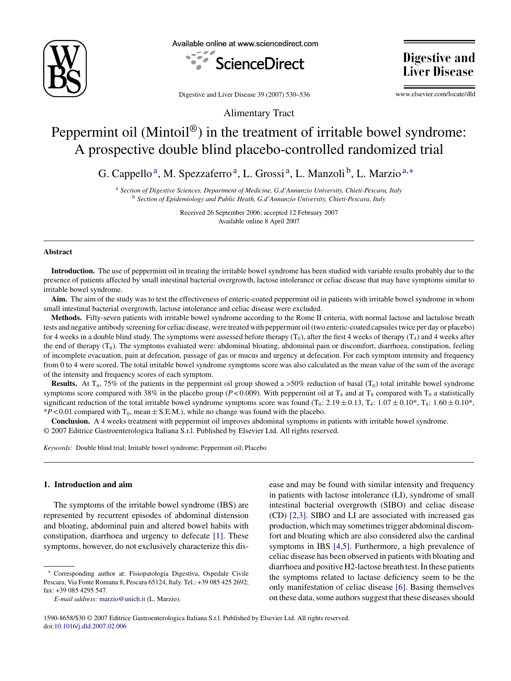

Available online at www.sciencedirect.com



**Digestive and Liver Disease** 

Digestive and Liver Disease 39 (2007) 530–536

www.elsevier.com/locate/dld

# Alimentary Tract

# Peppermint oil (Mintoil®) in the treatment of irritable bowel syndrome: A prospective double blind placebo-controlled randomized trial

G. Cappello<sup>a</sup>, M. Spezzaferro<sup>a</sup>, L. Grossi<sup>a</sup>, L. Manzoli<sup>b</sup>, L. Marzio<sup>a,\*</sup>

<sup>a</sup> *Section of Digestive Sciences, Department of Medicine, G.d'Annunzio University, Chieti-Pescara, Italy* <sup>b</sup> *Section of Epidemiology and Public Heath, G.d'Annunzio University, Chieti-Pescara, Italy*

> Received 26 September 2006; accepted 12 February 2007 Available online 8 April 2007

#### **Abstract**

**Introduction.** The use of peppermint oil in treating the irritable bowel syndrome has been studied with variable results probably due to the presence of patients affected by small intestinal bacterial overgrowth, lactose intolerance or celiac disease that may have symptoms similar to irritable bowel syndrome.

**Aim.** The aim of the study was to test the effectiveness of enteric-coated peppermint oil in patients with irritable bowel syndrome in whom small intestinal bacterial overgrowth, lactose intolerance and celiac disease were excluded.

**Methods.** Fifty-seven patients with irritable bowel syndrome according to the Rome II criteria, with normal lactose and lactulose breath tests and negative antibody screening for celiac disease, were treated with peppermint oil (two enteric-coated capsules twice per day or placebo) for 4 weeks in a double blind study. The symptoms were assessed before therapy  $(T_0)$ , after the first 4 weeks of therapy  $(T_4)$  and 4 weeks after the end of therapy  $(T_8)$ . The symptoms evaluated were: abdominal bloating, abdominal pain or discomfort, diarrhoea, constipation, feeling of incomplete evacuation, pain at defecation, passage of gas or mucus and urgency at defecation. For each symptom intensity and frequency from 0 to 4 were scored. The total irritable bowel syndrome symptoms score was also calculated as the mean value of the sum of the average of the intensity and frequency scores of each symptom.

**Results.** At T<sub>4</sub>, 75% of the patients in the peppermint oil group showed a  $>50\%$  reduction of basal (T<sub>0</sub>) total irritable bowel syndrome symptoms score compared with 38% in the placebo group ( $P < 0.009$ ). With peppermint oil at T<sub>4</sub> and at T<sub>8</sub> compared with T<sub>0</sub> a statistically significant reduction of the total irritable bowel syndrome symptoms score was found  $(T_0: 2.19 \pm 0.13, T_4: 1.07 \pm 0.10^*, T_8: 1.60 \pm 0.10^*,$  $*P < 0.01$  compared with T<sub>0</sub>, mean  $\pm$  S.E.M.), while no change was found with the placebo.

**Conclusion.** A 4 weeks treatment with peppermint oil improves abdominal symptoms in patients with irritable bowel syndrome. © 2007 Editrice Gastroenterologica Italiana S.r.l. Published by Elsevier Ltd. All rights reserved.

*Keywords:* Double blind trial; Irritable bowel syndrome; Peppermint oil; Placebo

# **1. Introduction and aim**

The symptoms of the irritable bowel syndrome (IBS) are represented by recurrent episodes of abdominal distension and bloating, abdominal pain and altered bowel habits with constipation, diarrhoea and urgency to defecate [\[1\].](#page-5-0) These symptoms, however, do not exclusively characterize this disease and may be found with similar intensity and frequency in patients with lactose intolerance (LI), syndrome of small intestinal bacterial overgrowth (SIBO) and celiac disease (CD) [\[2,3\].](#page-5-0) SIBO and LI are associated with increased gas production, which may sometimes trigger abdominal discomfort and bloating which are also considered also the cardinal symptoms in IBS [\[4,5\].](#page-5-0) Furthermore, a high prevalence of celiac disease has been observed in patients with bloating and diarrhoea and positive H2-lactose breath test. In these patients the symptoms related to lactase deficiency seem to be the only manifestation of celiac disease [\[6\].](#page-5-0) Basing themselves on these data, some authors suggest that these diseases should

<sup>∗</sup> Corresponding author at: Fisiopatologia Digestiva, Ospedale Civile Pescara, Via Fonte Romana 8, Pescara 65124, Italy. Tel.: +39 085 425 2692; fax: +39 085 4295 547.

*E-mail address:* [marzio@unich.it](mailto:marzio@unich.it) (L. Marzio).

<sup>1590-8658/\$30 © 2007</sup> Editrice Gastroenterologica Italiana S.r.l. Published by Elsevier Ltd. All rights reserved. doi[:10.1016/j.dld.2007.02.006](dx.doi.org/10.1016/j.dld.2007.02.006)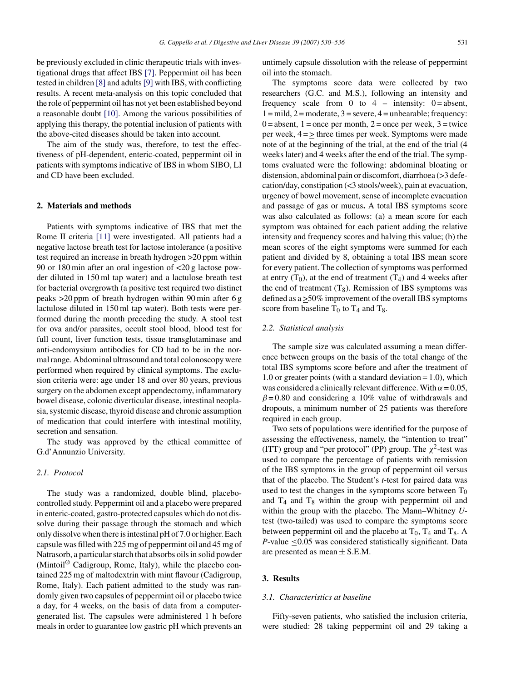be previously excluded in clinic therapeutic trials with investigational drugs that affect IBS [\[7\].](#page-5-0) Peppermint oil has been tested in children [\[8\]](#page-5-0) and adults[\[9\]](#page-5-0) with IBS, with conflicting results. A recent meta-analysis on this topic concluded that the role of peppermint oil has not yet been established beyond a reasonable doubt [\[10\].](#page-5-0) Among the various possibilities of applying this therapy, the potential inclusion of patients with the above-cited diseases should be taken into account.

The aim of the study was, therefore, to test the effectiveness of pH-dependent, enteric-coated, peppermint oil in patients with symptoms indicative of IBS in whom SIBO, LI and CD have been excluded.

#### **2. Materials and methods**

Patients with symptoms indicative of IBS that met the Rome II criteria [\[11\]](#page-5-0) were investigated. All patients had a negative lactose breath test for lactose intolerance (a positive test required an increase in breath hydrogen >20 ppm within 90 or 180 min after an oral ingestion of <20 g lactose powder diluted in 150 ml tap water) and a lactulose breath test for bacterial overgrowth (a positive test required two distinct peaks >20 ppm of breath hydrogen within 90 min after 6 g lactulose diluted in 150 ml tap water). Both tests were performed during the month preceding the study. A stool test for ova and/or parasites, occult stool blood, blood test for full count, liver function tests, tissue transglutaminase and anti-endomysium antibodies for CD had to be in the normal range. Abdominal ultrasound and total colonoscopy were performed when required by clinical symptoms. The exclusion criteria were: age under 18 and over 80 years, previous surgery on the abdomen except appendectomy, inflammatory bowel disease, colonic diverticular disease, intestinal neoplasia, systemic disease, thyroid disease and chronic assumption of medication that could interfere with intestinal motility, secretion and sensation.

The study was approved by the ethical committee of G.d'Annunzio University.

# *2.1. Protocol*

The study was a randomized, double blind, placebocontrolled study. Peppermint oil and a placebo were prepared in enteric-coated, gastro-protected capsules which do not dissolve during their passage through the stomach and which only dissolve when there is intestinal pH of 7.0 or higher. Each capsule was filled with 225 mg of peppermint oil and 45 mg of Natrasorb, a particular starch that absorbs oils in solid powder (Mintoil® Cadigroup, Rome, Italy), while the placebo contained 225 mg of maltodextrin with mint flavour (Cadigroup, Rome, Italy). Each patient admitted to the study was randomly given two capsules of peppermint oil or placebo twice a day, for 4 weeks, on the basis of data from a computergenerated list. The capsules were administered 1 h before meals in order to guarantee low gastric pH which prevents an

untimely capsule dissolution with the release of peppermint oil into the stomach.

The symptoms score data were collected by two researchers (G.C. and M.S.), following an intensity and frequency scale from 0 to 4 – intensity:  $0 =$  absent,  $1 = \text{mild}, 2 = \text{moderate}, 3 = \text{severe}, 4 = \text{unbearable}; \text{frequency}:$  $0 =$  absent,  $1 =$  once per month,  $2 =$  once per week,  $3 =$  twice per week, 4 = > three times per week. Symptoms were made note of at the beginning of the trial, at the end of the trial (4 weeks later) and 4 weeks after the end of the trial. The symptoms evaluated were the following: abdominal bloating or distension, abdominal pain or discomfort, diarrhoea (>3 defecation/day, constipation (<3 stools/week), pain at evacuation, urgency of bowel movement, sense of incomplete evacuation and passage of gas or mucus**.** A total IBS symptoms score was also calculated as follows: (a) a mean score for each symptom was obtained for each patient adding the relative intensity and frequency scores and halving this value; (b) the mean scores of the eight symptoms were summed for each patient and divided by 8, obtaining a total IBS mean score for every patient. The collection of symptoms was performed at entry  $(T_0)$ , at the end of treatment  $(T_4)$  and 4 weeks after the end of treatment  $(T_8)$ . Remission of IBS symptoms was defined as a >50% improvement of the overall IBS symptoms score from baseline  $T_0$  to  $T_4$  and  $T_8$ .

#### *2.2. Statistical analysis*

The sample size was calculated assuming a mean difference between groups on the basis of the total change of the total IBS symptoms score before and after the treatment of 1.0 or greater points (with a standard deviation  $= 1.0$ ), which was considered a clinically relevant difference. With  $\alpha = 0.05$ ,  $\beta$  = 0.80 and considering a 10% value of withdrawals and dropouts, a minimum number of 25 patients was therefore required in each group.

Two sets of populations were identified for the purpose of assessing the effectiveness, namely, the "intention to treat" (ITT) group and "per protocol" (PP) group. The  $\chi^2$ -test was used to compare the percentage of patients with remission of the IBS symptoms in the group of peppermint oil versus that of the placebo. The Student's *t*-test for paired data was used to test the changes in the symptoms score between  $T_0$ and  $T_4$  and  $T_8$  within the group with peppermint oil and within the group with the placebo. The Mann–Whitney *U*test (two-tailed) was used to compare the symptoms score between peppermint oil and the placebo at  $T_0$ ,  $T_4$  and  $T_8$ . A *P*-value <0.05 was considered statistically significant. Data are presented as mean  $\pm$  S.E.M.

## **3. Results**

#### *3.1. Characteristics at baseline*

Fifty-seven patients, who satisfied the inclusion criteria, were studied: 28 taking peppermint oil and 29 taking a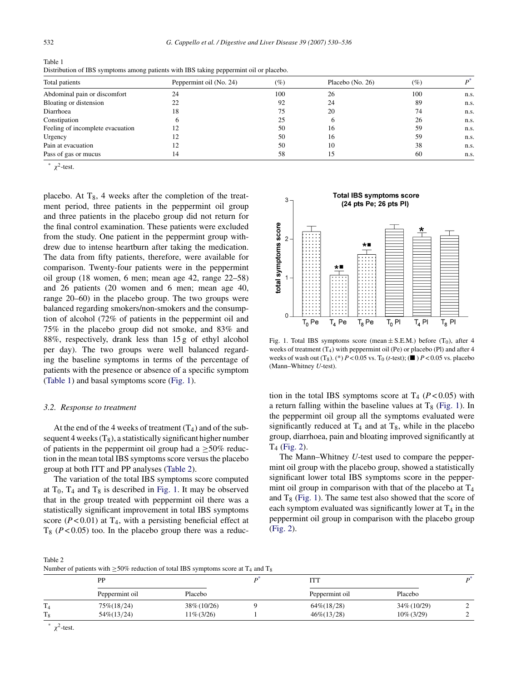| Table 1                                                                                |
|----------------------------------------------------------------------------------------|
| Distribution of IBS symptoms among patients with IBS taking peppermint oil or placebo. |

| Total patients                   | Peppermint oil (No. 24) | (%) | Placebo (No. 26) | $(\%)$ |      |
|----------------------------------|-------------------------|-----|------------------|--------|------|
| Abdominal pain or discomfort     | 24                      | 100 | 26               | 100    | n.s. |
| Bloating or distension           | 22                      | 92  | 24               | 89     | n.s. |
| Diarrhoea                        | 18                      | 75  | 20               | 74     | n.s. |
| Constipation                     |                         | 25  | O                | 26     | n.s. |
| Feeling of incomplete evacuation |                         | 50  | 16               | 59     | n.s. |
| Urgency                          | 12                      | 50  | 16               | 59     | n.s. |
| Pain at evacuation               | 12                      | 50  | 10               | 38     | n.s. |
| Pass of gas or mucus             | 14                      | 58  | 15               | 60     | n.s. |

\*  $\chi^2$ -test.

placebo. At  $T_8$ , 4 weeks after the completion of the treatment period, three patients in the peppermint oil group and three patients in the placebo group did not return for the final control examination. These patients were excluded from the study. One patient in the peppermint group withdrew due to intense heartburn after taking the medication. The data from fifty patients, therefore, were available for comparison. Twenty-four patients were in the peppermint oil group (18 women, 6 men; mean age 42, range 22–58) and 26 patients (20 women and 6 men; mean age 40, range 20–60) in the placebo group. The two groups were balanced regarding smokers/non-smokers and the consumption of alcohol (72% of patients in the peppermint oil and 75% in the placebo group did not smoke, and 83% and 88%, respectively, drank less than 15 g of ethyl alcohol per day). The two groups were well balanced regarding the baseline symptoms in terms of the percentage of patients with the presence or absence of a specific symptom (Table 1) and basal symptoms score (Fig. 1).

#### *3.2. Response to treatment*

At the end of the 4 weeks of treatment  $(T_4)$  and of the subsequent 4 weeks  $(T_8)$ , a statistically significant higher number of patients in the peppermint oil group had a  $\geq$ 50% reduction in the mean total IBS symptoms score versus the placebo group at both ITT and PP analyses (Table 2).

The variation of the total IBS symptoms score computed at  $T_0$ ,  $T_4$  and  $T_8$  is described in Fig. 1. It may be observed that in the group treated with peppermint oil there was a statistically significant improvement in total IBS symptoms score  $(P<0.01)$  at T<sub>4</sub>, with a persisting beneficial effect at  $T_8$  ( $P < 0.05$ ) too. In the placebo group there was a reduc-



Fig. 1. Total IBS symptoms score (mean  $\pm$  S.E.M.) before (T<sub>0</sub>), after 4 weeks of treatment  $(T_4)$  with peppermint oil (Pe) or placebo (Pl) and after 4 weeks of wash out  $(T_8)$ . (\*)  $P < 0.05$  vs.  $T_0$  (*t*-test);  $(\blacksquare)$   $P < 0.05$  vs. placebo (Mann–Whitney *U*-test).

tion in the total IBS symptoms score at  $T_4$  ( $P < 0.05$ ) with a return falling within the baseline values at  $T_8$  (Fig. 1). In the peppermint oil group all the symptoms evaluated were significantly reduced at  $T_4$  and at  $T_8$ , while in the placebo group, diarrhoea, pain and bloating improved significantly at T4 ([Fig. 2\).](#page-3-0)

The Mann–Whitney *U*-test used to compare the peppermint oil group with the placebo group, showed a statistically significant lower total IBS symptoms score in the peppermint oil group in comparison with that of the placebo at  $T_4$ and  $T_8$  (Fig. 1). The same test also showed that the score of each symptom evaluated was significantly lower at  $T_4$  in the peppermint oil group in comparison with the placebo group [\(Fig. 2\).](#page-3-0)

Table 2 Number of patients with  $>50\%$  reduction of total IBS symptoms score at  $T_4$  and  $T_6$ 

| Trainber of patients with $\leq$ 90% reduction of total HDD symptoms score at 14 and 18 |               |  |                |               |  |  |  |  |  |  |
|-----------------------------------------------------------------------------------------|---------------|--|----------------|---------------|--|--|--|--|--|--|
| PP                                                                                      |               |  |                |               |  |  |  |  |  |  |
| Peppermint oil                                                                          | Placebo       |  | Peppermint oil | Placebo       |  |  |  |  |  |  |
| 75\%(18/24)                                                                             | 38\% (10/26)  |  | $64\%/18/28$   | 34\% (10/29)  |  |  |  |  |  |  |
| $54\%/13/24)$                                                                           | $11\% (3/26)$ |  | $46\%/13/28$   | $10\% (3/29)$ |  |  |  |  |  |  |
|                                                                                         |               |  |                |               |  |  |  |  |  |  |

 $*$   $\gamma^2$ -test.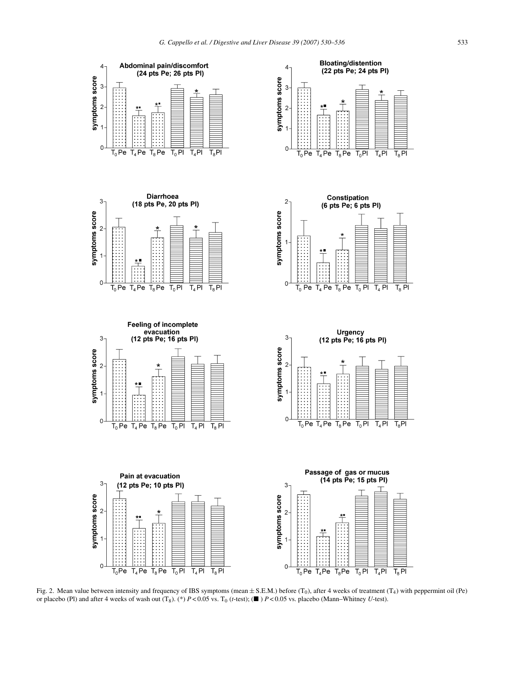<span id="page-3-0"></span>













Fig. 2. Mean value between intensity and frequency of IBS symptoms (mean  $\pm$  S.E.M.) before (T<sub>0</sub>), after 4 weeks of treatment (T<sub>4</sub>) with peppermint oil (Pe) or placebo (Pl) and after 4 weeks of wash out  $(T_8)$ . (\*)  $P < 0.05$  vs.  $T_0$  (*t*-test); ( $\blacksquare$ )  $P < 0.05$  vs. placebo (Mann–Whitney *U*-test).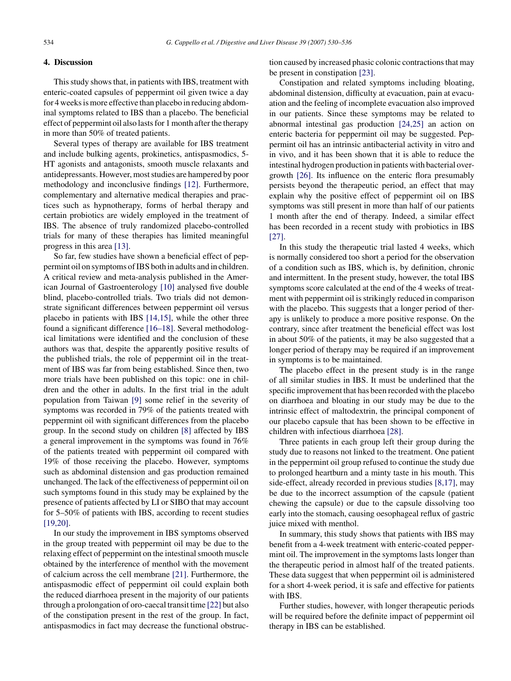# **4. Discussion**

This study shows that, in patients with IBS, treatment with enteric-coated capsules of peppermint oil given twice a day for 4 weeks is more effective than placebo in reducing abdominal symptoms related to IBS than a placebo. The beneficial effect of peppermint oil also lasts for 1 month after the therapy in more than 50% of treated patients.

Several types of therapy are available for IBS treatment and include bulking agents, prokinetics, antispasmodics, 5- HT agonists and antagonists, smooth muscle relaxants and antidepressants. However, most studies are hampered by poor methodology and inconclusive findings [\[12\].](#page-5-0) Furthermore, complementary and alternative medical therapies and practices such as hypnotherapy, forms of herbal therapy and certain probiotics are widely employed in the treatment of IBS. The absence of truly randomized placebo-controlled trials for many of these therapies has limited meaningful progress in this area [\[13\].](#page-5-0)

So far, few studies have shown a beneficial effect of peppermint oil on symptoms of IBS both in adults and in children. A critical review and meta-analysis published in the American Journal of Gastroenterology [\[10\]](#page-5-0) analysed five double blind, placebo-controlled trials. Two trials did not demonstrate significant differences between peppermint oil versus placebo in patients with IBS [\[14,15\],](#page-5-0) while the other three found a significant difference [\[16–18\]. S](#page-5-0)everal methodological limitations were identified and the conclusion of these authors was that, despite the apparently positive results of the published trials, the role of peppermint oil in the treatment of IBS was far from being established. Since then, two more trials have been published on this topic: one in children and the other in adults. In the first trial in the adult population from Taiwan [\[9\]](#page-5-0) some relief in the severity of symptoms was recorded in 79% of the patients treated with peppermint oil with significant differences from the placebo group. In the second study on children [\[8\]](#page-5-0) affected by IBS a general improvement in the symptoms was found in 76% of the patients treated with peppermint oil compared with 19% of those receiving the placebo. However, symptoms such as abdominal distension and gas production remained unchanged. The lack of the effectiveness of peppermint oil on such symptoms found in this study may be explained by the presence of patients affected by LI or SIBO that may account for 5–50% of patients with IBS, according to recent studies [\[19,20\].](#page-5-0)

In our study the improvement in IBS symptoms observed in the group treated with peppermint oil may be due to the relaxing effect of peppermint on the intestinal smooth muscle obtained by the interference of menthol with the movement of calcium across the cell membrane [\[21\].](#page-5-0) Furthermore, the antispasmodic effect of peppermint oil could explain both the reduced diarrhoea present in the majority of our patients through a prolongation of oro-caecal transit time [\[22\]](#page-5-0) but also of the constipation present in the rest of the group. In fact, antispasmodics in fact may decrease the functional obstruction caused by increased phasic colonic contractions that may be present in constipation [\[23\].](#page-5-0)

Constipation and related symptoms including bloating, abdominal distension, difficulty at evacuation, pain at evacuation and the feeling of incomplete evacuation also improved in our patients. Since these symptoms may be related to abnormal intestinal gas production [\[24,25\]](#page-5-0) an action on enteric bacteria for peppermint oil may be suggested. Peppermint oil has an intrinsic antibacterial activity in vitro and in vivo, and it has been shown that it is able to reduce the intestinal hydrogen production in patients with bacterial overgrowth [\[26\].](#page-6-0) Its influence on the enteric flora presumably persists beyond the therapeutic period, an effect that may explain why the positive effect of peppermint oil on IBS symptoms was still present in more than half of our patients 1 month after the end of therapy. Indeed, a similar effect has been recorded in a recent study with probiotics in IBS [\[27\].](#page-6-0)

In this study the therapeutic trial lasted 4 weeks, which is normally considered too short a period for the observation of a condition such as IBS, which is, by definition, chronic and intermittent. In the present study, however, the total IBS symptoms score calculated at the end of the 4 weeks of treatment with peppermint oil is strikingly reduced in comparison with the placebo. This suggests that a longer period of therapy is unlikely to produce a more positive response. On the contrary, since after treatment the beneficial effect was lost in about 50% of the patients, it may be also suggested that a longer period of therapy may be required if an improvement in symptoms is to be maintained.

The placebo effect in the present study is in the range of all similar studies in IBS. It must be underlined that the specific improvement that has been recorded with the placebo on diarrhoea and bloating in our study may be due to the intrinsic effect of maltodextrin, the principal component of our placebo capsule that has been shown to be effective in children with infectious diarrhoea [\[28\].](#page-6-0)

Three patients in each group left their group during the study due to reasons not linked to the treatment. One patient in the peppermint oil group refused to continue the study due to prolonged heartburn and a minty taste in his mouth. This side-effect, already recorded in previous studies [\[8,17\], m](#page-5-0)ay be due to the incorrect assumption of the capsule (patient chewing the capsule) or due to the capsule dissolving too early into the stomach, causing oesophageal reflux of gastric juice mixed with menthol.

In summary, this study shows that patients with IBS may benefit from a 4-week treatment with enteric-coated peppermint oil. The improvement in the symptoms lasts longer than the therapeutic period in almost half of the treated patients. These data suggest that when peppermint oil is administered for a short 4-week period, it is safe and effective for patients with IBS.

Further studies, however, with longer therapeutic periods will be required before the definite impact of peppermint oil therapy in IBS can be established.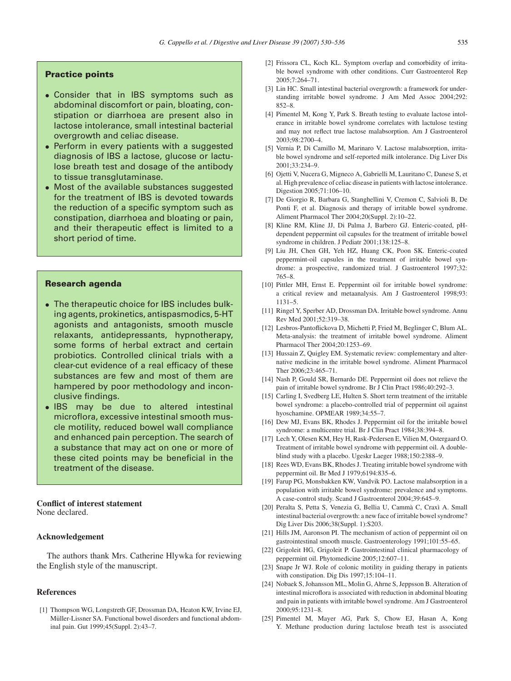# <span id="page-5-0"></span>**Practice points**

- Consider that in IBS symptoms such as abdominal discomfort or pain, bloating, constipation or diarrhoea are present also in lactose intolerance, small intestinal bacterial overgrowth and celiac disease.
- Perform in every patients with a suggested diagnosis of IBS a lactose, glucose or lactulose breath test and dosage of the antibody to tissue transglutaminase.
- Most of the available substances suggested for the treatment of IBS is devoted towards the reduction of a specific symptom such as constipation, diarrhoea and bloating or pain, and their therapeutic effect is limited to a short period of time.

# **Research agenda**

- The therapeutic choice for IBS includes bulking agents, prokinetics, antispasmodics, 5-HT agonists and antagonists, smooth muscle relaxants, antidepressants, hypnotherapy, some forms of herbal extract and certain probiotics. Controlled clinical trials with a clear-cut evidence of a real efficacy of these substances are few and most of them are hampered by poor methodology and inconclusive findings.
- IBS may be due to altered intestinal microflora, excessive intestinal smooth muscle motility, reduced bowel wall compliance and enhanced pain perception. The search of a substance that may act on one or more of these cited points may be beneficial in the treatment of the disease.

#### **Conflict of interest statement** None declared.

## **Acknowledgement**

The authors thank Mrs. Catherine Hlywka for reviewing the English style of the manuscript.

#### **References**

[1] Thompson WG, Longstreth GF, Drossman DA, Heaton KW, Irvine EJ, Müller-Lissner SA. Functional bowel disorders and functional abdominal pain. Gut 1999;45(Suppl. 2):43–7.

- [2] Frissora CL, Koch KL. Symptom overlap and comorbidity of irritable bowel syndrome with other conditions. Curr Gastroenterol Rep 2005;7:264–71.
- [3] Lin HC. Small intestinal bacterial overgrowth: a framework for understanding irritable bowel syndrome. J Am Med Assoc 2004;292: 852–8.
- [4] Pimentel M, Kong Y, Park S. Breath testing to evaluate lactose intolerance in irritable bowel syndrome correlates with lactulose testing and may not reflect true lactose malabsorption. Am J Gastroenterol 2003;98:2700–4.
- [5] Vernia P, Di Camillo M, Marinaro V. Lactose malabsorption, irritable bowel syndrome and self-reported milk intolerance. Dig Liver Dis 2001;33:234–9.
- [6] Ojetti V, Nucera G, Migneco A, Gabrielli M, Lauritano C, Danese S, et al. High prevalence of celiac disease in patients with lactose intolerance. Digestion 2005;71:106–10.
- [7] De Giorgio R, Barbara G, Stanghellini V, Cremon C, Salvioli B, De Ponti F, et al. Diagnosis and therapy of irritable bowel syndrome. Aliment Pharmacol Ther 2004;20(Suppl. 2):10–22.
- [8] Kline RM, Kline JJ, Di Palma J, Barbero GJ. Enteric-coated, pHdependent peppermint oil capsules for the treatment of irritable bowel syndrome in children. J Pediatr 2001;138:125–8.
- [9] Liu JH, Chen GH, Yeh HZ, Huang CK, Poon SK. Enteric-coated peppermint-oil capsules in the treatment of irritable bowel syndrome: a prospective, randomized trial. J Gastroenterol 1997;32: 765–8.
- [10] Pittler MH, Ernst E. Peppermint oil for irritable bowel syndrome: a critical review and metaanalysis. Am J Gastroenterol 1998;93: 1131–5.
- [11] Ringel Y, Sperber AD, Drossman DA. Irritable bowel syndrome. Annu Rev Med 2001;52:319–38.
- [12] Lesbros-Pantoflickova D, Michetti P, Fried M, Beglinger C, Blum AL. Meta-analysis: the treatment of irritable bowel syndrome. Aliment Pharmacol Ther 2004;20:1253–69.
- [13] Hussain Z, Quigley EM. Systematic review: complementary and alternative medicine in the irritable bowel syndrome. Aliment Pharmacol Ther 2006;23:465–71.
- [14] Nash P, Gould SR, Bernardo DE. Peppermint oil does not relieve the pain of irritable bowel syndrome. Br J Clin Pract 1986;40:292–3.
- [15] Carling I, Svedberg LE, Hulten S. Short term treatment of the irritable bowel syndrome: a placebo-controlled trial of peppermint oil against hyoschamine. OPMEAR 1989;34:55–7.
- [16] Dew MJ, Evans BK, Rhodes J. Peppermint oil for the irritable bowel syndrome: a multicentre trial. Br J Clin Pract 1984;38:394–8.
- [17] Lech Y, Olesen KM, Hey H, Rask-Pedersen E, Vilien M, Ostergaard O. Treatment of irritable bowel syndrome with peppermint oil. A doubleblind study with a placebo. Ugeskr Laeger 1988;150:2388–9.
- [18] Rees WD, Evans BK, Rhodes J. Treating irritable bowel syndrome with peppermint oil. Br Med J 1979;6194:835–6.
- [19] Farup PG, Monsbakken KW, Vandvik PO. Lactose malabsorption in a population with irritable bowel syndrome: prevalence and symptoms. A case-control study. Scand J Gastroenterol 2004;39:645–9.
- [20] Peralta S, Petta S, Venezia G, Bellia U, Cammà C, Craxì A. Small intestinal bacterial overgrowth: a new face of irritable bowel syndrome? Dig Liver Dis 2006;38(Suppl. 1):S203.
- [21] Hills JM, Aaronson PI. The mechanism of action of peppermint oil on gastrointestinal smooth muscle. Gastroenterology 1991;101:55–65.
- [22] Grigoleit HG, Grigoleit P. Gastrointestinal clinical pharmacology of peppermint oil. Phytomedicine 2005;12:607–11.
- [23] Snape Jr WJ. Role of colonic motility in guiding therapy in patients with constipation. Dig Dis 1997;15:104–11.
- [24] Nobaek S, Johansson ML, Molin G, Ahrne S, Jeppsson B. Alteration of intestinal microflora is associated with reduction in abdominal bloating and pain in patients with irritable bowel syndrome. Am J Gastroenterol 2000;95:1231–8.
- [25] Pimentel M, Mayer AG, Park S, Chow EJ, Hasan A, Kong Y. Methane production during lactulose breath test is associated